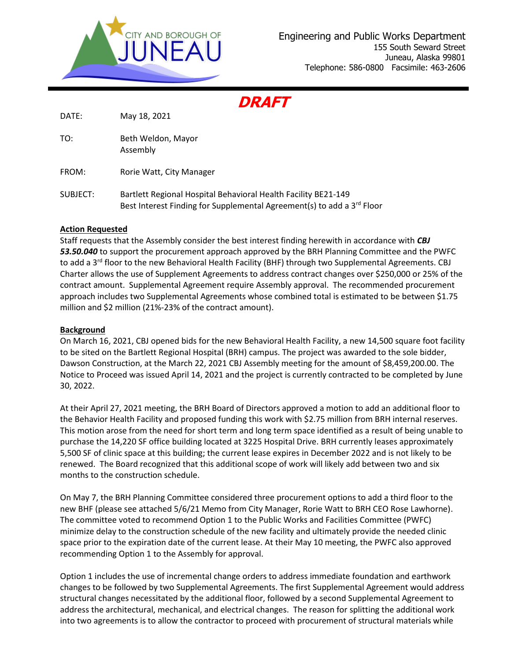

**DRAFT**

DATE: May 18, 2021

TO: Beth Weldon, Mayor Assembly

FROM: Rorie Watt, City Manager

SUBJECT: Bartlett Regional Hospital Behavioral Health Facility BE21-149 Best Interest Finding for Supplemental Agreement(s) to add a  $3^{rd}$  Floor

# **Action Requested**

Staff requests that the Assembly consider the best interest finding herewith in accordance with *CBJ*  53.50.040 to support the procurement approach approved by the BRH Planning Committee and the PWFC to add a 3<sup>rd</sup> floor to the new Behavioral Health Facility (BHF) through two Supplemental Agreements. CBJ Charter allows the use of Supplement Agreements to address contract changes over \$250,000 or 25% of the contract amount. Supplemental Agreement require Assembly approval. The recommended procurement approach includes two Supplemental Agreements whose combined total is estimated to be between \$1.75 million and \$2 million (21%-23% of the contract amount).

### **Background**

On March 16, 2021, CBJ opened bids for the new Behavioral Health Facility, a new 14,500 square foot facility to be sited on the Bartlett Regional Hospital (BRH) campus. The project was awarded to the sole bidder, Dawson Construction, at the March 22, 2021 CBJ Assembly meeting for the amount of \$8,459,200.00. The Notice to Proceed was issued April 14, 2021 and the project is currently contracted to be completed by June 30, 2022.

At their April 27, 2021 meeting, the BRH Board of Directors approved a motion to add an additional floor to the Behavior Health Facility and proposed funding this work with \$2.75 million from BRH internal reserves. This motion arose from the need for short term and long term space identified as a result of being unable to purchase the 14,220 SF office building located at 3225 Hospital Drive. BRH currently leases approximately 5,500 SF of clinic space at this building; the current lease expires in December 2022 and is not likely to be renewed. The Board recognized that this additional scope of work will likely add between two and six months to the construction schedule.

On May 7, the BRH Planning Committee considered three procurement options to add a third floor to the new BHF (please see attached 5/6/21 Memo from City Manager, Rorie Watt to BRH CEO Rose Lawhorne). The committee voted to recommend Option 1 to the Public Works and Facilities Committee (PWFC) minimize delay to the construction schedule of the new facility and ultimately provide the needed clinic space prior to the expiration date of the current lease. At their May 10 meeting, the PWFC also approved recommending Option 1 to the Assembly for approval.

Option 1 includes the use of incremental change orders to address immediate foundation and earthwork changes to be followed by two Supplemental Agreements. The first Supplemental Agreement would address structural changes necessitated by the additional floor, followed by a second Supplemental Agreement to address the architectural, mechanical, and electrical changes. The reason for splitting the additional work into two agreements is to allow the contractor to proceed with procurement of structural materials while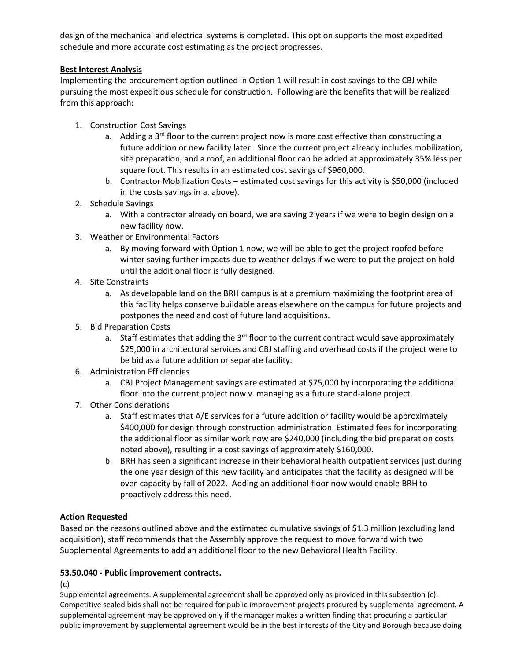design of the mechanical and electrical systems is completed. This option supports the most expedited schedule and more accurate cost estimating as the project progresses.

## **Best Interest Analysis**

Implementing the procurement option outlined in Option 1 will result in cost savings to the CBJ while pursuing the most expeditious schedule for construction. Following are the benefits that will be realized from this approach:

- 1. Construction Cost Savings
	- a. Adding a  $3<sup>rd</sup>$  floor to the current project now is more cost effective than constructing a future addition or new facility later. Since the current project already includes mobilization, site preparation, and a roof, an additional floor can be added at approximately 35% less per square foot. This results in an estimated cost savings of \$960,000.
	- b. Contractor Mobilization Costs estimated cost savings for this activity is \$50,000 (included in the costs savings in a. above).
- 2. Schedule Savings
	- a. With a contractor already on board, we are saving 2 years if we were to begin design on a new facility now.
- 3. Weather or Environmental Factors
	- a. By moving forward with Option 1 now, we will be able to get the project roofed before winter saving further impacts due to weather delays if we were to put the project on hold until the additional floor is fully designed.
- 4. Site Constraints
	- a. As developable land on the BRH campus is at a premium maximizing the footprint area of this facility helps conserve buildable areas elsewhere on the campus for future projects and postpones the need and cost of future land acquisitions.
- 5. Bid Preparation Costs
	- a. Staff estimates that adding the  $3<sup>rd</sup>$  floor to the current contract would save approximately \$25,000 in architectural services and CBJ staffing and overhead costs if the project were to be bid as a future addition or separate facility.
- 6. Administration Efficiencies
	- a. CBJ Project Management savings are estimated at \$75,000 by incorporating the additional floor into the current project now v. managing as a future stand-alone project.
- 7. Other Considerations
	- a. Staff estimates that A/E services for a future addition or facility would be approximately \$400,000 for design through construction administration. Estimated fees for incorporating the additional floor as similar work now are \$240,000 (including the bid preparation costs noted above), resulting in a cost savings of approximately \$160,000.
	- b. BRH has seen a significant increase in their behavioral health outpatient services just during the one year design of this new facility and anticipates that the facility as designed will be over-capacity by fall of 2022. Adding an additional floor now would enable BRH to proactively address this need.

# **Action Requested**

Based on the reasons outlined above and the estimated cumulative savings of \$1.3 million (excluding land acquisition), staff recommends that the Assembly approve the request to move forward with two Supplemental Agreements to add an additional floor to the new Behavioral Health Facility.

# **53.50.040 - Public improvement contracts.**

(c)

Supplemental agreements. A supplemental agreement shall be approved only as provided in this subsection (c). Competitive sealed bids shall not be required for public improvement projects procured by supplemental agreement. A supplemental agreement may be approved only if the manager makes a written finding that procuring a particular public improvement by supplemental agreement would be in the best interests of the City and Borough because doing